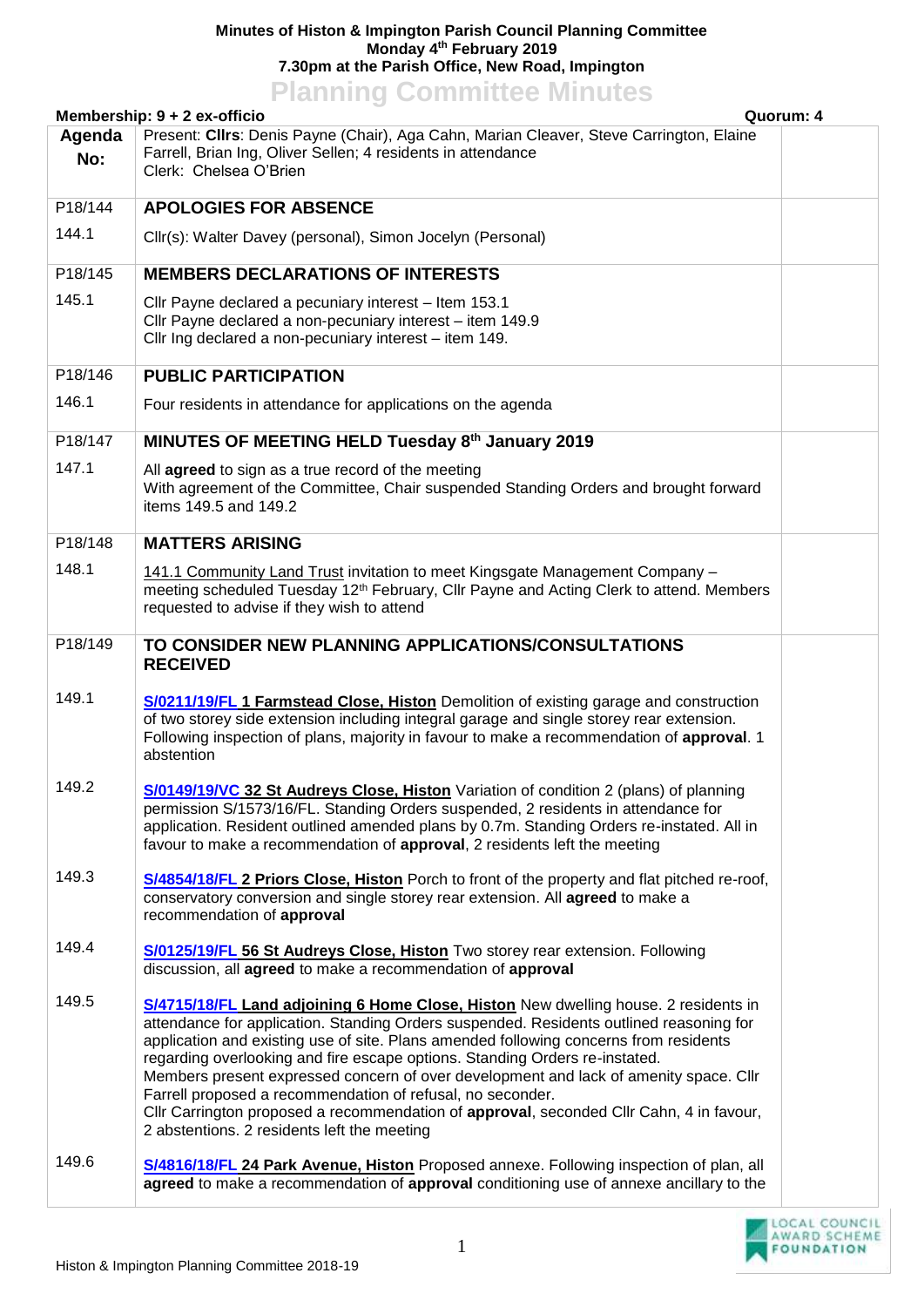## **Minutes of Histon & Impington Parish Council Planning Committee Monday 4th February 2019 7.30pm at the Parish Office, New Road, Impington Planning Committee Minutes**

|         | Membership: 9 + 2 ex-officio                                                                                                                                                                                                                                                                                                                                                                                                                                                                                                                                                                                                                            | Quorum: 4 |
|---------|---------------------------------------------------------------------------------------------------------------------------------------------------------------------------------------------------------------------------------------------------------------------------------------------------------------------------------------------------------------------------------------------------------------------------------------------------------------------------------------------------------------------------------------------------------------------------------------------------------------------------------------------------------|-----------|
| Agenda  | Present: Cllrs: Denis Payne (Chair), Aga Cahn, Marian Cleaver, Steve Carrington, Elaine                                                                                                                                                                                                                                                                                                                                                                                                                                                                                                                                                                 |           |
| No:     | Farrell, Brian Ing, Oliver Sellen; 4 residents in attendance<br>Clerk: Chelsea O'Brien                                                                                                                                                                                                                                                                                                                                                                                                                                                                                                                                                                  |           |
|         |                                                                                                                                                                                                                                                                                                                                                                                                                                                                                                                                                                                                                                                         |           |
| P18/144 | <b>APOLOGIES FOR ABSENCE</b>                                                                                                                                                                                                                                                                                                                                                                                                                                                                                                                                                                                                                            |           |
| 144.1   | Cllr(s): Walter Davey (personal), Simon Jocelyn (Personal)                                                                                                                                                                                                                                                                                                                                                                                                                                                                                                                                                                                              |           |
| P18/145 | <b>MEMBERS DECLARATIONS OF INTERESTS</b>                                                                                                                                                                                                                                                                                                                                                                                                                                                                                                                                                                                                                |           |
| 145.1   | Cllr Payne declared a pecuniary interest - Item 153.1<br>Cllr Payne declared a non-pecuniary interest - item 149.9<br>Cllr Ing declared a non-pecuniary interest - item 149.                                                                                                                                                                                                                                                                                                                                                                                                                                                                            |           |
| P18/146 | <b>PUBLIC PARTICIPATION</b>                                                                                                                                                                                                                                                                                                                                                                                                                                                                                                                                                                                                                             |           |
| 146.1   | Four residents in attendance for applications on the agenda                                                                                                                                                                                                                                                                                                                                                                                                                                                                                                                                                                                             |           |
| P18/147 | MINUTES OF MEETING HELD Tuesday 8th January 2019                                                                                                                                                                                                                                                                                                                                                                                                                                                                                                                                                                                                        |           |
| 147.1   | All agreed to sign as a true record of the meeting<br>With agreement of the Committee, Chair suspended Standing Orders and brought forward<br>items 149.5 and 149.2                                                                                                                                                                                                                                                                                                                                                                                                                                                                                     |           |
| P18/148 | <b>MATTERS ARISING</b>                                                                                                                                                                                                                                                                                                                                                                                                                                                                                                                                                                                                                                  |           |
| 148.1   | 141.1 Community Land Trust invitation to meet Kingsgate Management Company -<br>meeting scheduled Tuesday 12 <sup>th</sup> February, Cllr Payne and Acting Clerk to attend. Members<br>requested to advise if they wish to attend                                                                                                                                                                                                                                                                                                                                                                                                                       |           |
| P18/149 | TO CONSIDER NEW PLANNING APPLICATIONS/CONSULTATIONS<br><b>RECEIVED</b>                                                                                                                                                                                                                                                                                                                                                                                                                                                                                                                                                                                  |           |
| 149.1   | S/0211/19/FL 1 Farmstead Close, Histon Demolition of existing garage and construction<br>of two storey side extension including integral garage and single storey rear extension.<br>Following inspection of plans, majority in favour to make a recommendation of approval. 1<br>abstention                                                                                                                                                                                                                                                                                                                                                            |           |
| 149.2   | S/0149/19/VC 32 St Audreys Close, Histon Variation of condition 2 (plans) of planning<br>permission S/1573/16/FL. Standing Orders suspended, 2 residents in attendance for<br>application. Resident outlined amended plans by 0.7m. Standing Orders re-instated. All in<br>favour to make a recommendation of approval, 2 residents left the meeting                                                                                                                                                                                                                                                                                                    |           |
| 149.3   | S/4854/18/FL 2 Priors Close, Histon Porch to front of the property and flat pitched re-roof,<br>conservatory conversion and single storey rear extension. All agreed to make a<br>recommendation of approval                                                                                                                                                                                                                                                                                                                                                                                                                                            |           |
| 149.4   | S/0125/19/FL 56 St Audreys Close, Histon Two storey rear extension. Following<br>discussion, all agreed to make a recommendation of approval                                                                                                                                                                                                                                                                                                                                                                                                                                                                                                            |           |
| 149.5   | S/4715/18/FL Land adjoining 6 Home Close, Histon New dwelling house. 2 residents in<br>attendance for application. Standing Orders suspended. Residents outlined reasoning for<br>application and existing use of site. Plans amended following concerns from residents<br>regarding overlooking and fire escape options. Standing Orders re-instated.<br>Members present expressed concern of over development and lack of amenity space. Cllr<br>Farrell proposed a recommendation of refusal, no seconder.<br>Cllr Carrington proposed a recommendation of approval, seconded Cllr Cahn, 4 in favour,<br>2 abstentions. 2 residents left the meeting |           |
| 149.6   | S/4816/18/FL 24 Park Avenue, Histon Proposed annexe. Following inspection of plan, all<br>agreed to make a recommendation of approval conditioning use of annexe ancillary to the                                                                                                                                                                                                                                                                                                                                                                                                                                                                       |           |

LOCAL COUNCIL<br>AWARD SCHEME<br>FOUNDATION